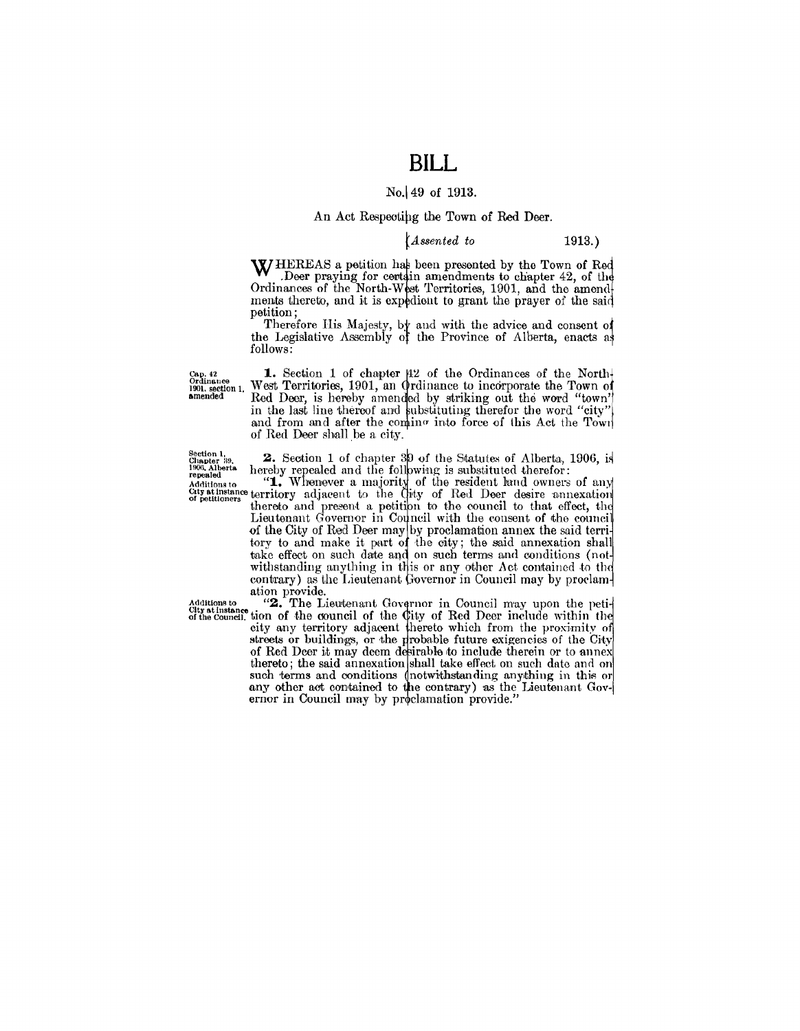### **BILL**

#### No. 49 of 1913.

#### An Act Respecting the Town of Red Deer.

#### (Assented to

 $1913.)$ 

WHEREAS a petition has been presented by the Town of Red W Deer praying for certain amendments to chapter 42, of the Ordinances of the North-West Territories, 1901, and the amend ments thereto, and it is expedient to grant the prayer of the said petition;

Therefore His Majesty, by and with the advice and consent of the Legislative Assembly of the Province of Alberta, enacts as follows:

Cap. 42<br>Ordinance<br>1901. section 1.<br>amended

1. Section 1 of chapter  $\mu$ 2 of the Ordinances of the North-West Territories, 1901, an Ordinance to incorporate the Town of Red Deer, is hereby amended by striking out the word "town" in the last line thereof and substituting therefor the word "city" and from and after the comino into force of this Act the Town of Red Deer shall be a city.

2. Section 1 of chapter 39 of the Statutes of Alberta, 1906, is

Chapter 39. **2.** Section 1 of chapter 39 of the Statutes of Alberta, 1906, 18<br>
1906, Alberta hereby repealed and the following is substituted therefor:<br> **Additions to** "**1.** Whenever a majority of the resident land owners of the City of Red Deer may by proclamation annex the said territory to and make it part of the city; the said annexation shall take effect on such date and on such terms and conditions (notwithstanding anything in this or any other Act contained to the contrary) as the Lieutenant Governor in Council may by proclamation provide.<br>
"2. The Lieutenant Governor in Council may upon the peti-

City at instance of the council of the City of Red Deer include within the city any territory adjacent thereto which from the proximity of streets or buildings, or the probable future exigencies of the City<br>of Red Deer it may deem desirable to include therein or to annex thereto; the said annexation shall take effect on such date and on such terms and conditions (notwithstanding anything in this or any other act contained to the contrary) as the Lieutenant Gov-<br>ernor in Council may by proclamation provide."

Section 1,<br>Chapter 39,<br>1906, Alberta<br>repealed

Additions to<br>City at the co